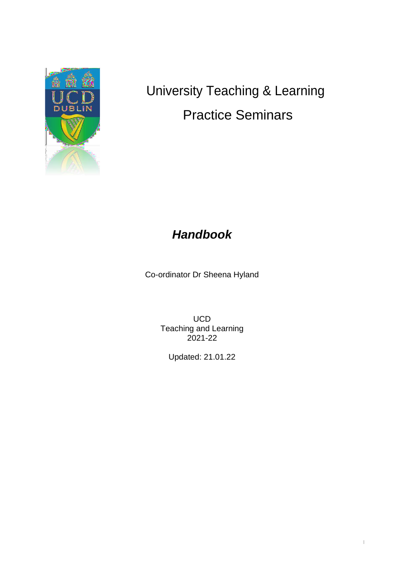

# University Teaching & Learning Practice Seminars

# *Handbook*

Co-ordinator Dr Sheena Hyland

UCD Teaching and Learning 2021-22

Updated: 21.01.22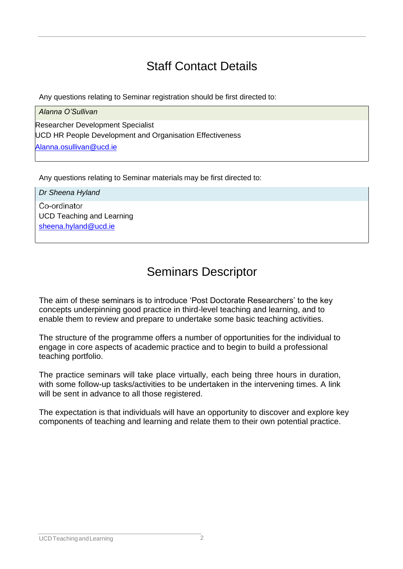# Staff Contact Details

Any questions relating to Seminar registration should be first directed to:

*Alanna O'Sullivan*

Researcher Development Specialist UCD HR People Development and Organisation Effectiveness [Alanna.osullivan@ucd.ie](mailto:Alanna.osullivan@ucd.ie)

Any questions relating to Seminar materials may be first directed to:

*Dr Sheena Hyland*Co-ordinator UCD Teaching and Learning [sheena.hyland@ucd.ie](mailto:sheena.hyland@ucd.ie)

# Seminars Descriptor

The aim of these seminars is to introduce 'Post Doctorate Researchers' to the key concepts underpinning good practice in third-level teaching and learning, and to enable them to review and prepare to undertake some basic teaching activities.

The structure of the programme offers a number of opportunities for the individual to engage in core aspects of academic practice and to begin to build a professional teaching portfolio.

The practice seminars will take place virtually, each being three hours in duration, with some follow-up tasks/activities to be undertaken in the intervening times. A link will be sent in advance to all those registered.

The expectation is that individuals will have an opportunity to discover and explore key components of teaching and learning and relate them to their own potential practice.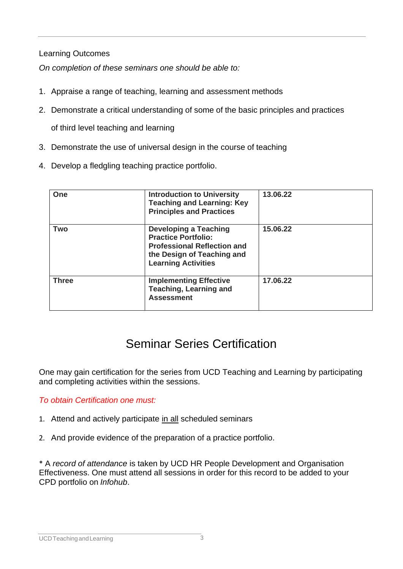Learning Outcomes

*On completion of these seminars one should be able to:*

- 1. Appraise a range of teaching, learning and assessment methods
- 2. Demonstrate a critical understanding of some of the basic principles and practices

of third level teaching and learning

- 3. Demonstrate the use of universal design in the course of teaching
- 4. Develop a fledgling teaching practice portfolio.

| One          | <b>Introduction to University</b><br><b>Teaching and Learning: Key</b><br><b>Principles and Practices</b>                                                    | 13.06.22 |
|--------------|--------------------------------------------------------------------------------------------------------------------------------------------------------------|----------|
| <b>Two</b>   | <b>Developing a Teaching</b><br><b>Practice Portfolio:</b><br><b>Professional Reflection and</b><br>the Design of Teaching and<br><b>Learning Activities</b> | 15,06.22 |
| <b>Three</b> | <b>Implementing Effective</b><br><b>Teaching, Learning and</b><br><b>Assessment</b>                                                                          | 17.06.22 |

## Seminar Series Certification

One may gain certification for the series from UCD Teaching and Learning by participating and completing activities within the sessions.

#### *To obtain Certification one must:*

- 1. Attend and actively participate in all scheduled seminars
- 2. And provide evidence of the preparation of a practice portfolio.

\* A *record of attendance* is taken by UCD HR People Development and Organisation Effectiveness. One must attend all sessions in order for this record to be added to your CPD portfolio on *Infohub*.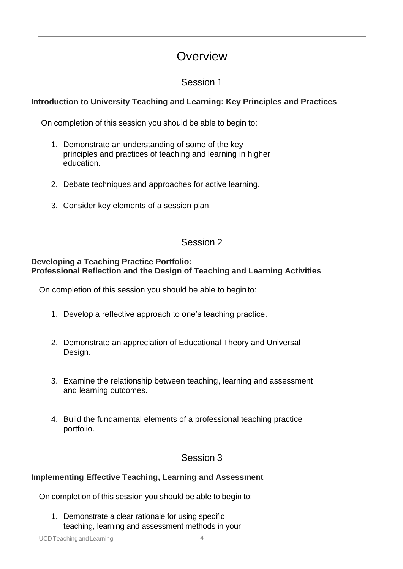### **Overview**

### Session 1

### **Introduction to University Teaching and Learning: Key Principles and Practices**

On completion of this session you should be able to begin to:

- 1. Demonstrate an understanding of some of the key principles and practices of teaching and learning in higher education.
- 2. Debate techniques and approaches for active learning.
- 3. Consider key elements of a session plan.

### Session 2

#### **Developing a Teaching Practice Portfolio: Professional Reflection and the Design of Teaching and Learning Activities**

On completion of this session you should be able to beginto:

- 1. Develop a reflective approach to one's teaching practice.
- 2. Demonstrate an appreciation of Educational Theory and Universal Design.
- 3. Examine the relationship between teaching, learning and assessment and learning outcomes.
- 4. Build the fundamental elements of a professional teaching practice portfolio.

### Session 3

#### **Implementing Effective Teaching, Learning and Assessment**

On completion of this session you should be able to begin to:

1. Demonstrate a clear rationale for using specific teaching, learning and assessment methods in your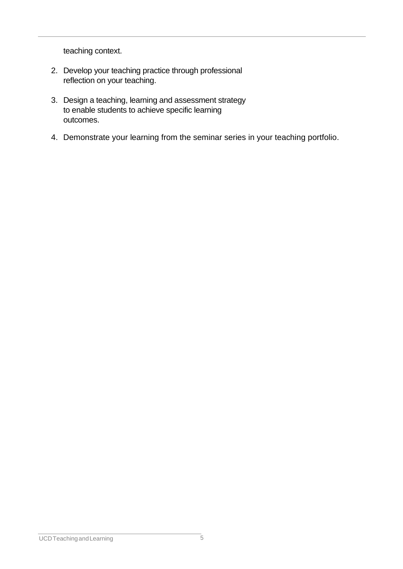teaching context.

- 2. Develop your teaching practice through professional reflection on your teaching.
- 3. Design a teaching, learning and assessment strategy to enable students to achieve specific learning outcomes.
- 4. Demonstrate your learning from the seminar series in your teaching portfolio.